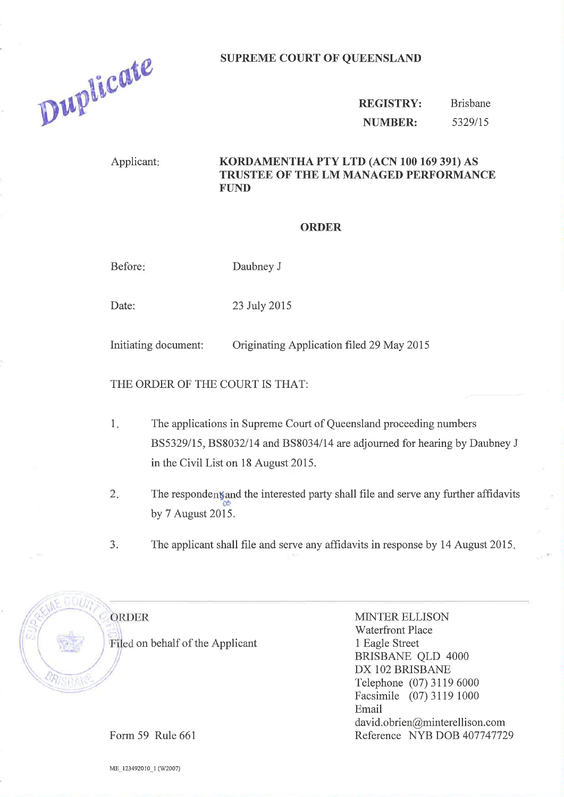## SUPREME COURT OF QUEENSLAND



REGISTRY: NUMBER: Brisbane 5329/15

## Applicant: KORDAMENTHA PTY LTD (ACN 100 169 391) AS TRUSTEE OF THE LM MANAGED PERFORMANCE FUND

## ORDER

Before: Daubney J

Date: 23 July 2015

Initiating document: Originating Application filed 29 May 2015

THE ORDER OF THE COURT IS THAT:

- The applications in Supreme Court of Queensland proceeding numbers 855329115, 858032/14 and 8S8034/14 are adjourned for hearing by Daubney J in the Civil List on 18 August 2015. 1
- The respondent and the interested party shall file and serve any further affidavits by 7 August 2015.  $2.$
- 3. The applicant shall file and serve any affrdavits in response by 14 August <sup>2015</sup>

ORDER Filed on behalf of the Applicant MINTER ELLISON Waterfront Place 1 Eagle Street BRISBANE QLD 4000 DX 102 BRISBANE Telephone (07) 3119 6000 Facsimile (07) 3119 1000 Email david. obrien@minterellison. com Reference NYB DOB 407747729

Form 59 Rule 661

ME\_123492010\_l (W2007)

 $\sqrt{S}$ Biv $\mu_{K}$